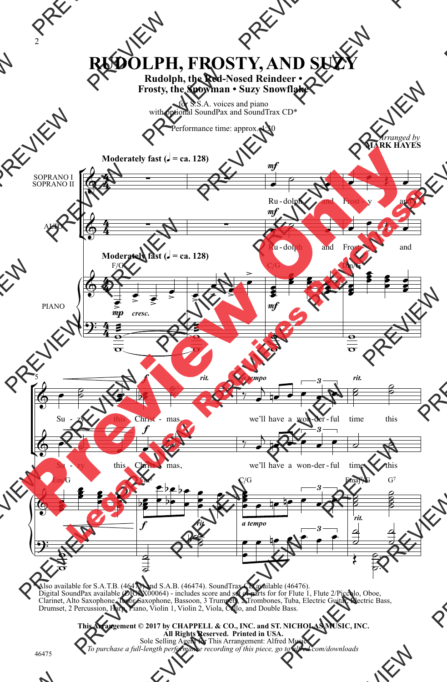## **RUDOLPH, FROSTY, AND SUZY**

**Rudolph, the Red-Nosed Reindeer • Frosty, the Snowman • Suzy Snowflake**

for S.S.A. voices and piano with optional SoundPax and SoundTrax CD\*

Performance time: approx. 4:30



\* Also available for S.A.T.B. (46473) and S.A.B. (46474). SoundTrax CD available (46476). Digital SoundPax available (DIGPX00064) - includes score and set of parts for for Flute 1, Flute 2/Piccolo, Oboe,<br>Clarinet, Alto Saxophone, Tenor Saxophone, Bassoon, 3 Trumpets, 2 Trombones, Tuba, Electric Guitar, Electric Drumset, 2 Percussion, Harp, Piano, Violin 1, Violin 2, Viola, Cello, and Double Bass.

> **This Arrangement © 2017 by CHAPPELL & CO., INC. and ST. NICHOLAS MUSIC, INC. All Rights Reserved. Printed in USA.** Sole Selling Agent for This Arrangement: Alfred Music *To purchase a full-length performance recording of this piece, go to alfred.com/downloads*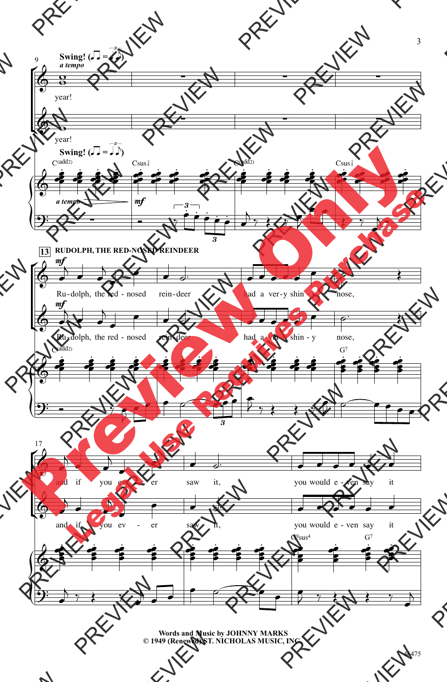

**Words and Music by JOHNNY MARKS © 1949 (Renewed) ST. NICHOLAS MUSIC, INC.**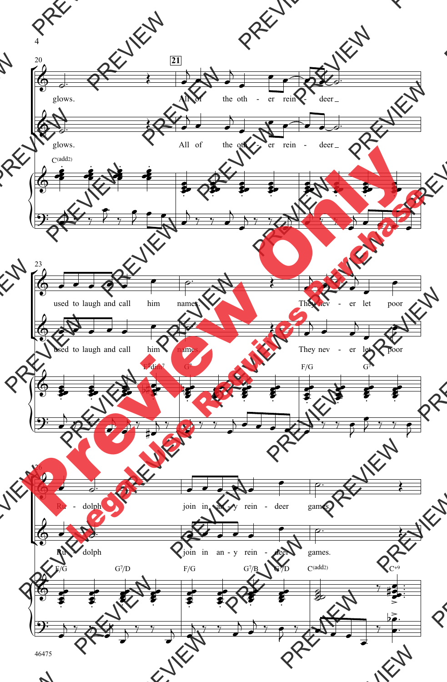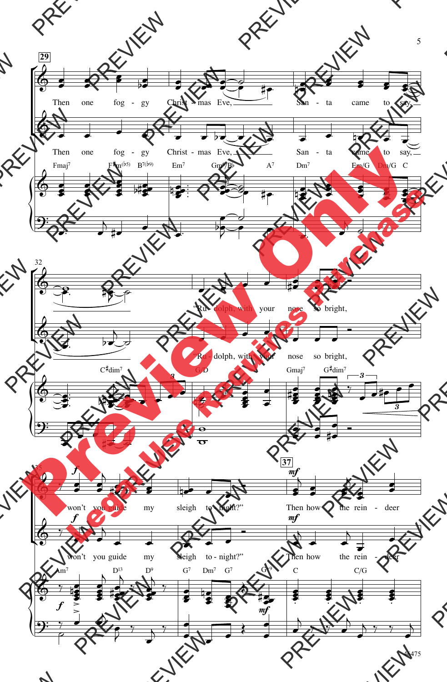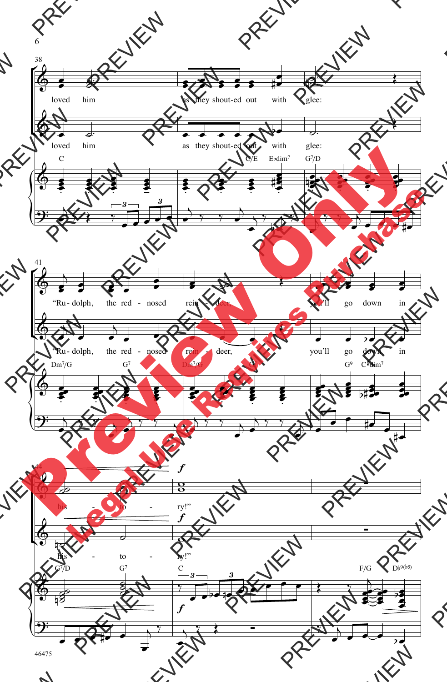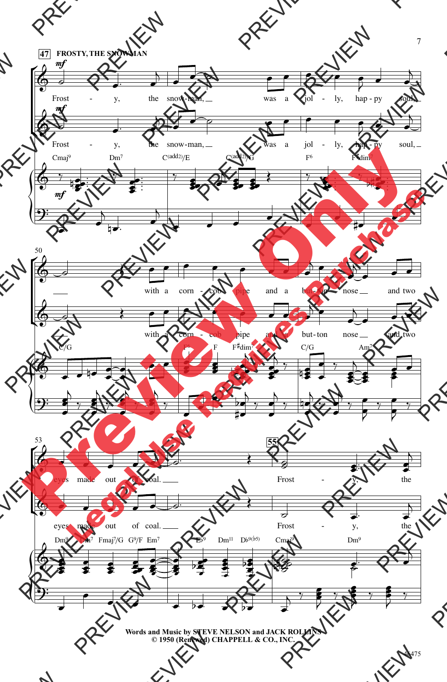

**Words and Music by STEVE NELSON and JACK ROLLINS © 1950 (Renewed) CHAPPELL & CO., INC.**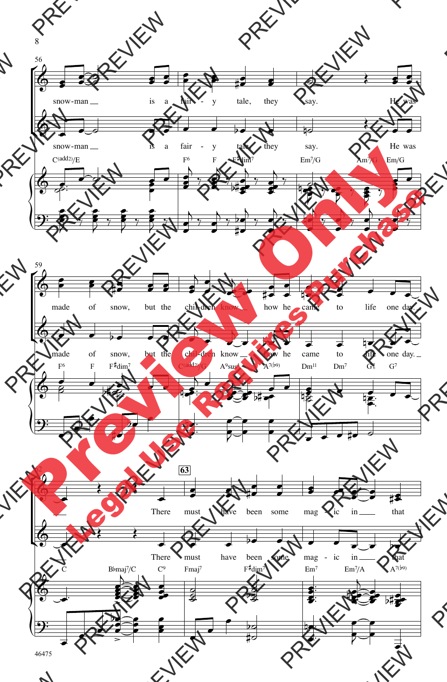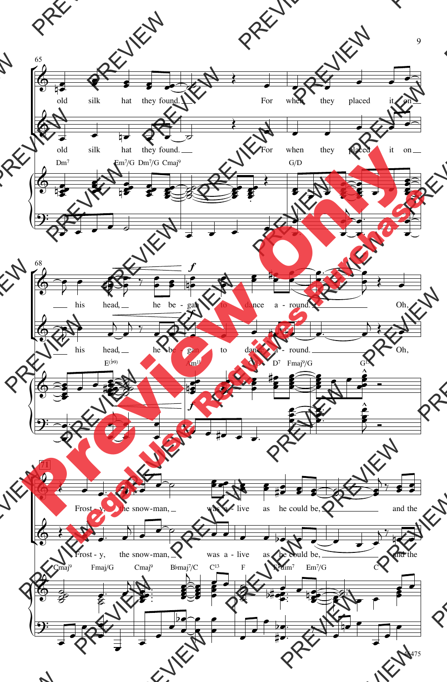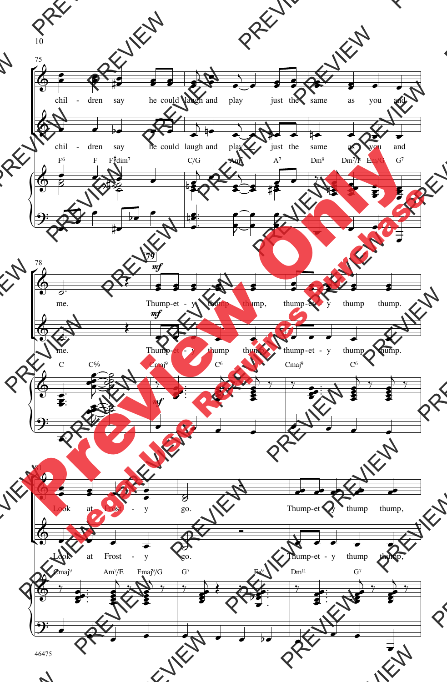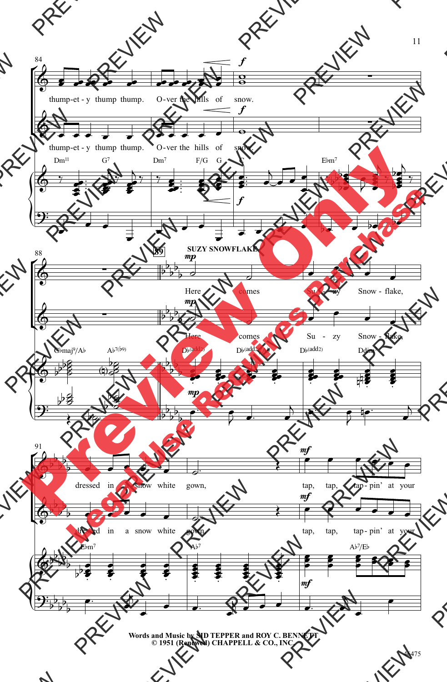

**Words and Music by SID TEPPER and ROY C. BENNETT © 1951 (Renewed) CHAPPELL & CO., INC.**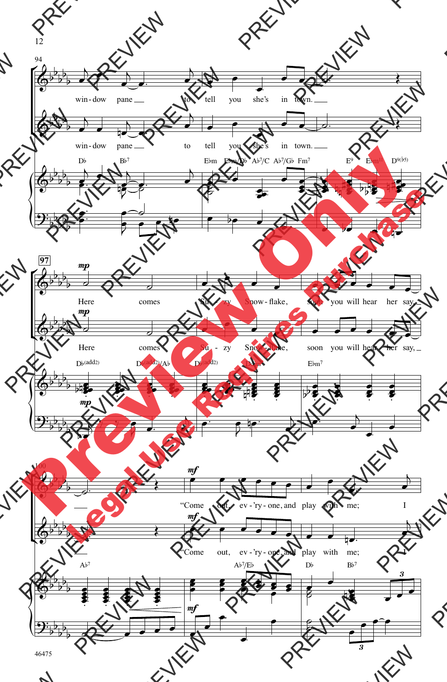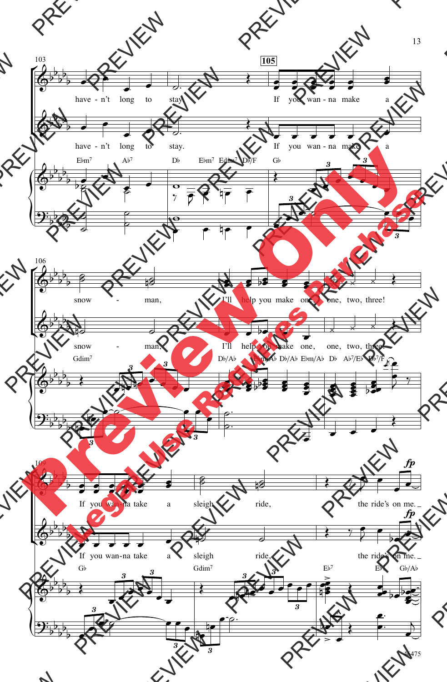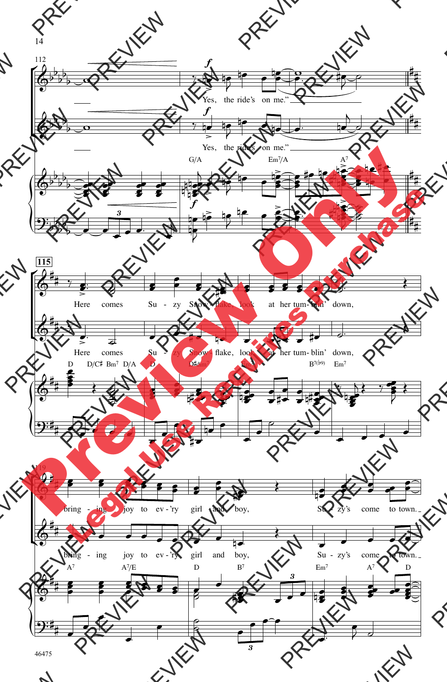

<sup>46475</sup>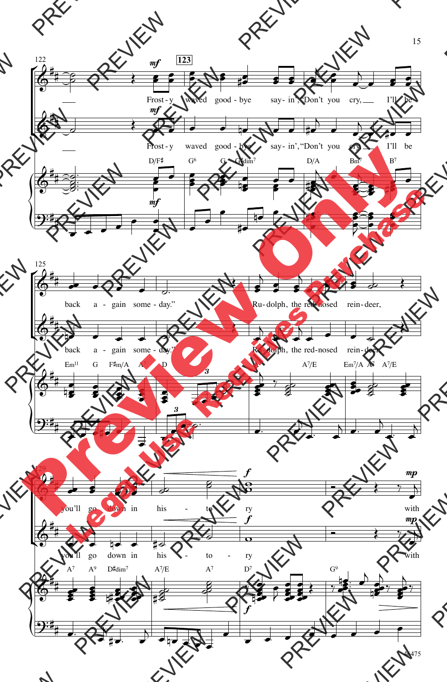

<sup>15</sup>